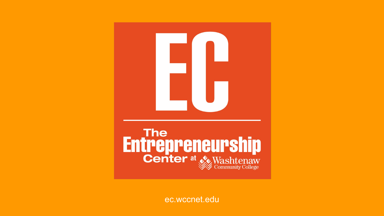

[ec.wccnet.edu](https://www.wccnet.edu/succeed/entrepreneurship-center/)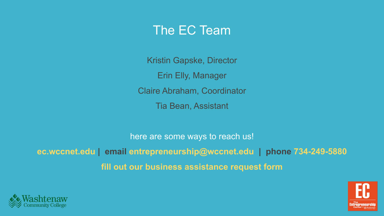### The EC Team

Kristin Gapske, Director Erin Elly, Manager Claire Abraham, Coordinator Tia Bean, Assistant

here are some ways to reach us! **[ec.wccnet.edu](https://www.wccnet.edu/succeed/entrepreneurship-center/) | email [entrepreneurship@wccnet.edu](mailto:entrepreneurship@wccnet.edu) | phone 734-249-5880 [fill out our business assistance request form](https://wccpriorityone.wufoo.com/forms/business-assistance-request/)**



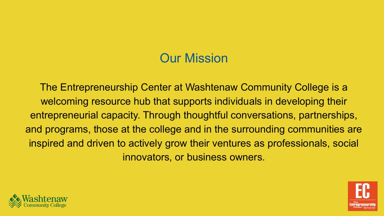## Our Mission

The Entrepreneurship Center at Washtenaw Community College is a welcoming resource hub that supports individuals in developing their entrepreneurial capacity. Through thoughtful conversations, partnerships, and programs, those at the college and in the surrounding communities are inspired and driven to actively grow their ventures as professionals, social innovators, or business owners.



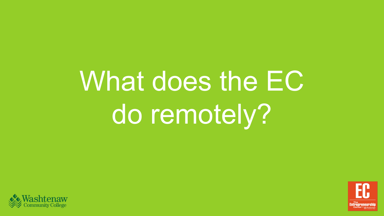# What does the EC do remotely?



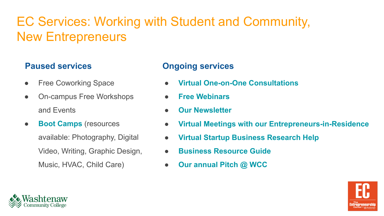# EC Services: Working with Student and Community, New Entrepreneurs

#### **Paused services**

- **Free Coworking Space**
- On-campus Free Workshops and Events
- **[Boot Camps](https://www.wccnet.edu/succeed/entrepreneurship-center/events-workshops/bootcamps/)** (resources available: Photography, Digital Video, Writing, Graphic Design, Music, HVAC, Child Care)

#### **Ongoing services**

- **● [Virtual One-on-One Consultations](https://wccpriorityone.wufoo.com/forms/business-assistance-request/)**
- **● [Free Webinars](https://www.wccnet.edu/succeed/entrepreneurship-center/events-workshops/)**
- **● [Our Newsletter](https://www.wccnet.edu/succeed/entrepreneurship-center/contact-us/#contactform)**
- **● [Virtual Meetings with our Entrepreneurs-in-Residence](https://www.wccnet.edu/succeed/entrepreneurship-center/events-workshops/entrepreneurs-in-residence.php)**
- **● [Virtual Startup Business Research Help](https://www.wccnet.edu/succeed/entrepreneurship-center/startup-business-research-help/)**
- **● [Business Resource Guide](http://libguides.wccnet.edu/smallbiz)**
- **● [Our annual Pitch @ WCC](https://www.wccnet.edu/succeed/entrepreneurship-center/events-workshops/pitchwcc.php)**



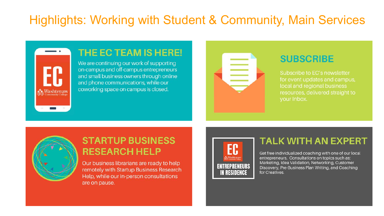### Highlights: Working with Student & Community, Main Services



#### THE EC TEAM IS HERE!

We are continuing our work of supporting on-campus and off-campus entrepreneurs and small business owners through online and phone communications, while our coworking space on campus is closed.



#### **SUBSCRIBE**

Subscribe to EC's newsletter for event updates and campus. local and regional business resources, delivered straight to your Inbox.



#### **STARTUP BUSINESS RESEARCH HELP**

Our business librarians are ready to help remotely with Startup Business Research Help, while our in-person consultations are on pause.



#### **TALK WITH AN EXPERT**

Get free individualized coaching with one of our local entrepreneurs. Consultations on topics such as: Marketing, Idea Validation, Networking, Customer Discovery, Pre-Business Plan Writing, and Coaching for Creatives.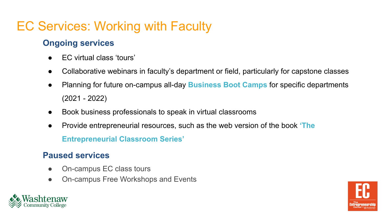# EC Services: Working with Faculty

#### **[Ongoing services](https://www.wccnet.edu/succeed/entrepreneurship-center/about-us/faculty-resources.php)**

- EC virtual class 'tours'
- Collaborative webinars in faculty's department or field, particularly for capstone classes
- Planning for future on-campus all-day **[Business Boot Camp](https://www.wccnet.edu/succeed/entrepreneurship-center/events-workshops/bootcamps/)s** for specific departments (2021 - 2022)
- Book business professionals to speak in virtual classrooms
- Provide entrepreneurial resources, such as the web version of the book **'The E[ntrepreneurial Classroo](https://libguides.wccnet.edu/entrepreneurship)m Series'**

#### **Paused services**

- On-campus EC class tours
- On-campus Free Workshops and Events



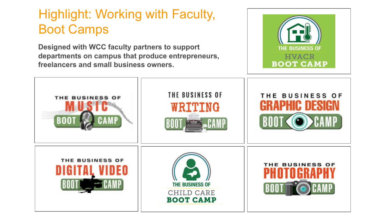# Highlight: Working with Faculty, [Boot Camps](https://www.wccnet.edu/succeed/entrepreneurship-center/events-workshops/bootcamps/)

**Designed with WCC faculty partners to support departments on campus that produce entrepreneurs, freelancers and small business owners.**



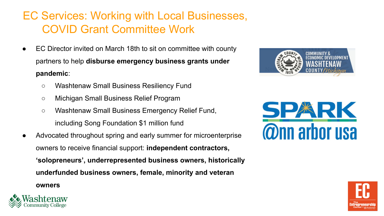#### EC Services: Working with Local Businesses, COVID Grant Committee Work

- EC Director invited on March 18th to sit on committee with county partners to help **disburse emergency business grants under pandemic**:
	- Washtenaw Small Business Resiliency Fund
	- Michigan Small Business Relief Program
	- [Washtenaw Small Business Emergency Relief Fund,](http://www.washtenawsbf.com/) including Song Foundation \$1 million fund
- Advocated throughout spring and early summer for microenterprise owners to receive financial support: **independent contractors, 'solopreneurs', underrepresented business owners, historically underfunded business owners, female, minority and veteran**









**owners**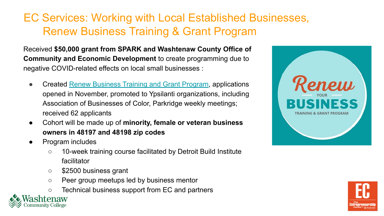#### EC Services: Working with Local Established Businesses, Renew Business Training & Grant Program

Received **\$50,000 grant from SPARK and Washtenaw County Office of Community and Economic Development** to create programming due to negative COVID-related effects on local small businesses :

- Created [Renew Business Training and Grant Program,](https://www.wccnet.edu/succeed/entrepreneurship-center/events-workshops/ec-renew.php) applications opened in November, promoted to Ypsilanti organizations, including Association of Businesses of Color, Parkridge weekly meetings; received 62 applicants
- Cohort will be made up of **minority, female or veteran business owners in 48197 and 48198 zip codes**
- Program includes
	- 10-week training course facilitated by Detroit Build Institute facilitator
	- \$2500 business grant
	- Peer group meetups led by business mentor
	- Technical business support from EC and partners



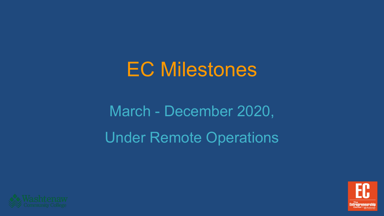# EC Milestones

# March - December 2020, Under Remote Operations



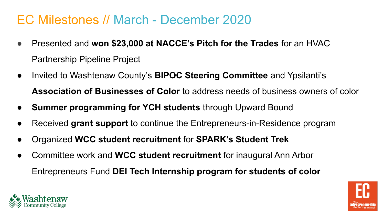### EC Milestones // March - December 2020

- Presented and **won \$23,000 at NACCE's Pitch for the Trades** for an HVAC Partnership Pipeline Project
- Invited to Washtenaw County's **BIPOC Steering Committee** and Ypsilanti's **Association of Businesses of Color** to address needs of business owners of color
- **Summer programming for YCH students** through Upward Bound
- Received grant support to continue the Entrepreneurs-in-Residence program
- Organized **WCC student recruitment** for **SPARK's Student Trek**
- Committee work and **WCC student recruitment** for inaugural Ann Arbor Entrepreneurs Fund **DEI Tech Internship program for students of color**



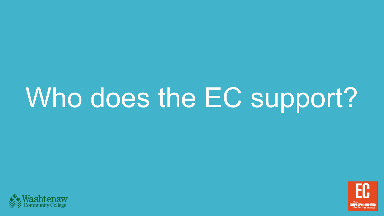# Who does the EC support?



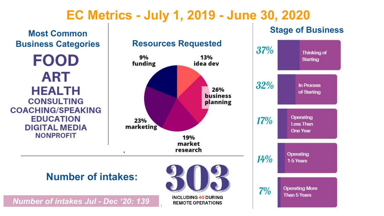### **EC Metrics - July 1, 2019 - June 30, 2020**

**Most Common Business Categories FOOD ART HEALTH CONSULTING COACHING/SPEAKING EDUCATION DIGITAL MEDIA NONPROFIT** X.

# **Resources Requested**  $37\%$



**INCLUDING 40 DURING REMOTE OPERATIONS** 

*Number of intakes Jul - Dec '20: 139*

#### **Stage of Business**

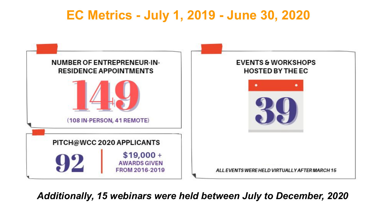## **EC Metrics - July 1, 2019 - June 30, 2020**



*Additionally, 15 webinars were held between July to December, 2020*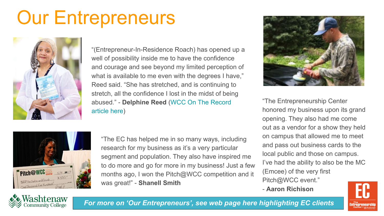# Our Entrepreneurs



"(Entrepreneur-In-Residence Roach) has opened up a well of possibility inside me to have the confidence and courage and see beyond my limited perception of what is available to me even with the degrees I have," Reed said. "She has stretched, and is continuing to stretch, all the confidence I lost in the midst of being abused." - **Delphine Reed** ([WCC On The Record](https://www.wccnet.edu/news/ontherecord/articles/2020-10-21-reedprofile.php)  [article here](https://www.wccnet.edu/news/ontherecord/articles/2020-10-21-reedprofile.php))



"The EC has helped me in so many ways, including research for my business as it's a very particular segment and population. They also have inspired me to do more and go for more in my business! Just a few months ago, I won the Pitch@WCC competition and it was great!" - **Shanell Smith**



"The Entrepreneurship Center honored my business upon its grand opening. They also had me come out as a vendor for a show they held on campus that allowed me to meet and pass out business cards to the local public and those on campus. I've had the ability to also be the MC (Emcee) of the very first Pitch@WCC event."

- **Aaron Richison**





*[For more on 'Our Entrepreneurs', see web page here highlighting EC clients](https://www.wccnet.edu/succeed/entrepreneurship-center/our-entrepreneurs/)*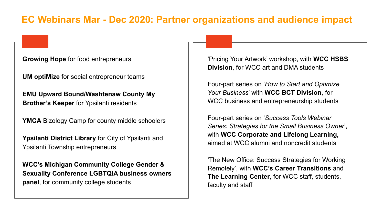#### **EC Webinars Mar - Dec 2020: Partner organizations and audience impact**

#### **Growing Hope** for food entrepreneurs

**UM optiMize** for social entrepreneur teams

**EMU Upward Bound/Washtenaw County My Brother's Keeper** for Ypsilanti residents

**YMCA** Bizology Camp for county middle schoolers

**Ypsilanti District Library** for City of Ypsilanti and Ypsilanti Township entrepreneurs

**WCC's Michigan Community College Gender & Sexuality Conference LGBTQIA business owners panel**, for community college students

'Pricing Your Artwork' workshop, with **WCC HSBS Division**, for WCC art and DMA students

Four-part series on '*How to Start and Optimize Your Business*' with **WCC BCT Division,** for WCC business and entrepreneurship students

Four-part series on '*Success Tools Webinar Series: Strategies for the Small Business Owner*', with **WCC Corporate and Lifelong Learning,** aimed at WCC alumni and noncredit students

'The New Office: Success Strategies for Working Remotely', with **WCC's Career Transitions** and **The Learning Center**, for WCC staff, students, faculty and staff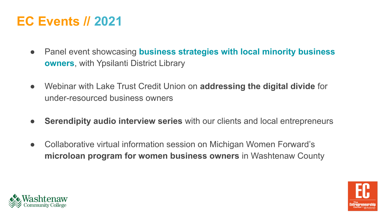# **EC Events // 2021**

- Panel event showcasing **[business strategies with local minority business](https://tockify.com/washtenawevents/detail/1032/1611788400000)  [owners](https://tockify.com/washtenawevents/detail/1032/1611788400000)**, with Ypsilanti District Library
- Webinar with Lake Trust Credit Union on **addressing the digital divide** for under-resourced business owners
- **Serendipity audio interview series** with our clients and local entrepreneurs
- Collaborative virtual information session on Michigan Women Forward's **microloan program for women business owners** in Washtenaw County